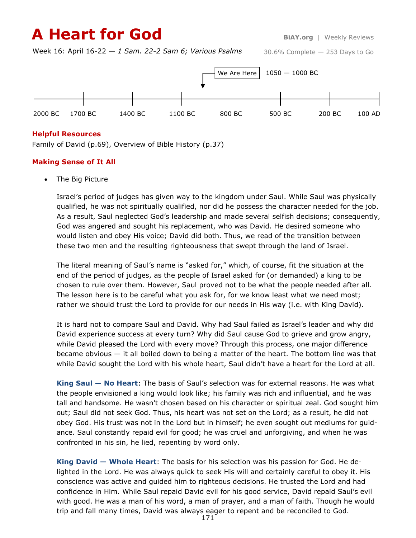# **A Heart for God** BiAY.org | Weekly Reviews

Week 16: April 16-22 — *1 Sam. 22-2 Sam 6; Various Psalms*

30.6% Complete — 253 Days to Go



### **Helpful Resources**

Family of David (p.69), Overview of Bible History (p.37)

### **Making Sense of It All**

The Big Picture

Israel's period of judges has given way to the kingdom under Saul. While Saul was physically qualified, he was not spiritually qualified, nor did he possess the character needed for the job. As a result, Saul neglected God's leadership and made several selfish decisions; consequently, God was angered and sought his replacement, who was David. He desired someone who would listen and obey His voice; David did both. Thus, we read of the transition between these two men and the resulting righteousness that swept through the land of Israel.

The literal meaning of Saul's name is "asked for," which, of course, fit the situation at the end of the period of judges, as the people of Israel asked for (or demanded) a king to be chosen to rule over them. However, Saul proved not to be what the people needed after all. The lesson here is to be careful what you ask for, for we know least what we need most; rather we should trust the Lord to provide for our needs in His way (i.e. with King David).

It is hard not to compare Saul and David. Why had Saul failed as Israel's leader and why did David experience success at every turn? Why did Saul cause God to grieve and grow angry, while David pleased the Lord with every move? Through this process, one major difference became obvious — it all boiled down to being a matter of the heart. The bottom line was that while David sought the Lord with his whole heart, Saul didn't have a heart for the Lord at all.

**King Saul — No Heart**: The basis of Saul's selection was for external reasons. He was what the people envisioned a king would look like; his family was rich and influential, and he was tall and handsome. He wasn't chosen based on his character or spiritual zeal. God sought him out; Saul did not seek God. Thus, his heart was not set on the Lord; as a result, he did not obey God. His trust was not in the Lord but in himself; he even sought out mediums for guidance. Saul constantly repaid evil for good; he was cruel and unforgiving, and when he was confronted in his sin, he lied, repenting by word only.

**King David — Whole Heart**: The basis for his selection was his passion for God. He delighted in the Lord. He was always quick to seek His will and certainly careful to obey it. His conscience was active and guided him to righteous decisions. He trusted the Lord and had confidence in Him. While Saul repaid David evil for his good service, David repaid Saul's evil with good. He was a man of his word, a man of prayer, and a man of faith. Though he would trip and fall many times, David was always eager to repent and be reconciled to God.